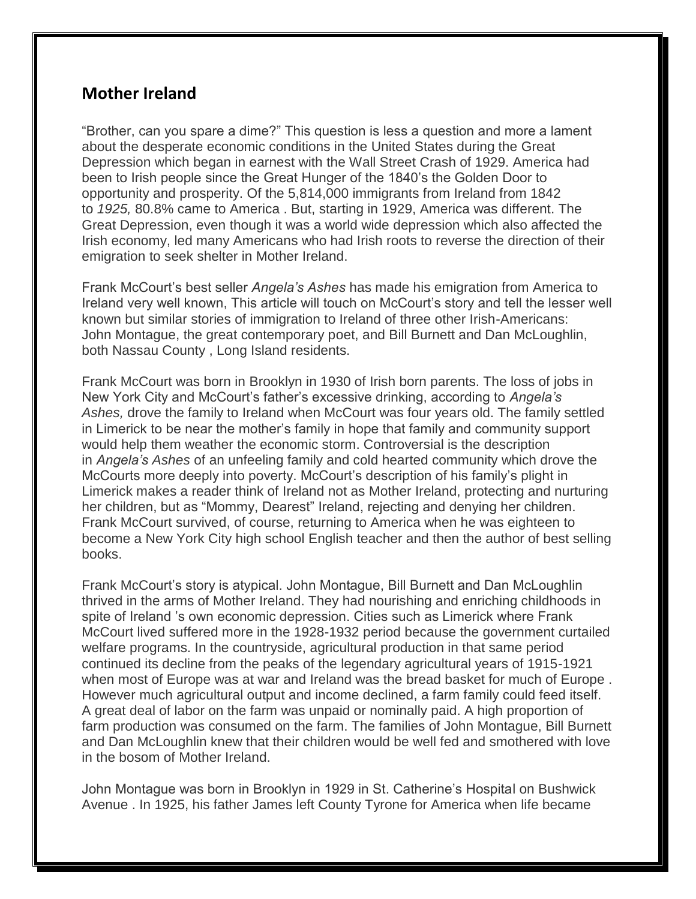## **Mother Ireland**

"Brother, can you spare a dime?" This question is less a question and more a lament about the desperate economic conditions in the United States during the Great Depression which began in earnest with the Wall Street Crash of 1929. America had been to Irish people since the Great Hunger of the 1840's the Golden Door to opportunity and prosperity. Of the 5,814,000 immigrants from Ireland from 1842 to *1925,* 80.8% came to America . But, starting in 1929, America was different. The Great Depression, even though it was a world wide depression which also affected the Irish economy, led many Americans who had Irish roots to reverse the direction of their emigration to seek shelter in Mother Ireland.

Frank McCourt's best seller *Angela's Ashes* has made his emigration from America to Ireland very well known, This article will touch on McCourt's story and tell the lesser well known but similar stories of immigration to Ireland of three other Irish-Americans: John Montague, the great contemporary poet, and Bill Burnett and Dan McLoughlin, both Nassau County , Long Island residents.

Frank McCourt was born in Brooklyn in 1930 of Irish born parents. The loss of jobs in New York City and McCourt's father's excessive drinking, according to *Angela's Ashes,* drove the family to Ireland when McCourt was four years old. The family settled in Limerick to be near the mother's family in hope that family and community support would help them weather the economic storm. Controversial is the description in *Angela's Ashes* of an unfeeling family and cold hearted community which drove the McCourts more deeply into poverty. McCourt's description of his family's plight in Limerick makes a reader think of Ireland not as Mother Ireland, protecting and nurturing her children, but as "Mommy, Dearest" Ireland, rejecting and denying her children. Frank McCourt survived, of course, returning to America when he was eighteen to become a New York City high school English teacher and then the author of best selling books.

Frank McCourt's story is atypical. John Montague, Bill Burnett and Dan McLoughlin thrived in the arms of Mother Ireland. They had nourishing and enriching childhoods in spite of Ireland 's own economic depression. Cities such as Limerick where Frank McCourt lived suffered more in the 1928-1932 period because the government curtailed welfare programs. In the countryside, agricultural production in that same period continued its decline from the peaks of the legendary agricultural years of 1915-1921 when most of Europe was at war and Ireland was the bread basket for much of Europe . However much agricultural output and income declined, a farm family could feed itself. A great deal of labor on the farm was unpaid or nominally paid. A high proportion of farm production was consumed on the farm. The families of John Montague, Bill Burnett and Dan McLoughlin knew that their children would be well fed and smothered with love in the bosom of Mother Ireland.

John Montague was born in Brooklyn in 1929 in St. Catherine's Hospital on Bushwick Avenue . In 1925, his father James left County Tyrone for America when life became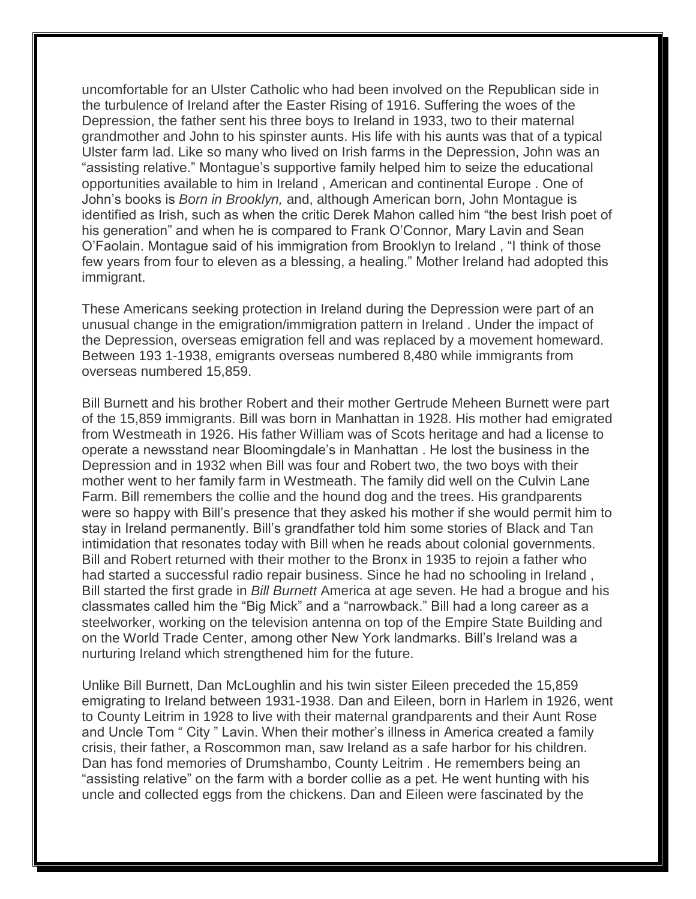uncomfortable for an Ulster Catholic who had been involved on the Republican side in the turbulence of Ireland after the Easter Rising of 1916. Suffering the woes of the Depression, the father sent his three boys to Ireland in 1933, two to their maternal grandmother and John to his spinster aunts. His life with his aunts was that of a typical Ulster farm lad. Like so many who lived on Irish farms in the Depression, John was an "assisting relative." Montague's supportive family helped him to seize the educational opportunities available to him in Ireland , American and continental Europe . One of John's books is *Born in Brooklyn,* and, although American born, John Montague is identified as Irish, such as when the critic Derek Mahon called him "the best Irish poet of his generation" and when he is compared to Frank O'Connor, Mary Lavin and Sean O'Faolain. Montague said of his immigration from Brooklyn to Ireland , "I think of those few years from four to eleven as a blessing, a healing." Mother Ireland had adopted this immigrant.

These Americans seeking protection in Ireland during the Depression were part of an unusual change in the emigration/immigration pattern in Ireland . Under the impact of the Depression, overseas emigration fell and was replaced by a movement homeward. Between 193 1-1938, emigrants overseas numbered 8,480 while immigrants from overseas numbered 15,859.

Bill Burnett and his brother Robert and their mother Gertrude Meheen Burnett were part of the 15,859 immigrants. Bill was born in Manhattan in 1928. His mother had emigrated from Westmeath in 1926. His father William was of Scots heritage and had a license to operate a newsstand near Bloomingdale's in Manhattan . He lost the business in the Depression and in 1932 when Bill was four and Robert two, the two boys with their mother went to her family farm in Westmeath. The family did well on the Culvin Lane Farm. Bill remembers the collie and the hound dog and the trees. His grandparents were so happy with Bill's presence that they asked his mother if she would permit him to stay in Ireland permanently. Bill's grandfather told him some stories of Black and Tan intimidation that resonates today with Bill when he reads about colonial governments. Bill and Robert returned with their mother to the Bronx in 1935 to rejoin a father who had started a successful radio repair business. Since he had no schooling in Ireland , Bill started the first grade in *Bill Burnett* America at age seven. He had a brogue and his classmates called him the "Big Mick" and a "narrowback." Bill had a long career as a steelworker, working on the television antenna on top of the Empire State Building and on the World Trade Center, among other New York landmarks. Bill's Ireland was a nurturing Ireland which strengthened him for the future.

Unlike Bill Burnett, Dan McLoughlin and his twin sister Eileen preceded the 15,859 emigrating to Ireland between 1931-1938. Dan and Eileen, born in Harlem in 1926, went to County Leitrim in 1928 to live with their maternal grandparents and their Aunt Rose and Uncle Tom " City " Lavin. When their mother's illness in America created a family crisis, their father, a Roscommon man, saw Ireland as a safe harbor for his children. Dan has fond memories of Drumshambo, County Leitrim . He remembers being an "assisting relative" on the farm with a border collie as a pet. He went hunting with his uncle and collected eggs from the chickens. Dan and Eileen were fascinated by the